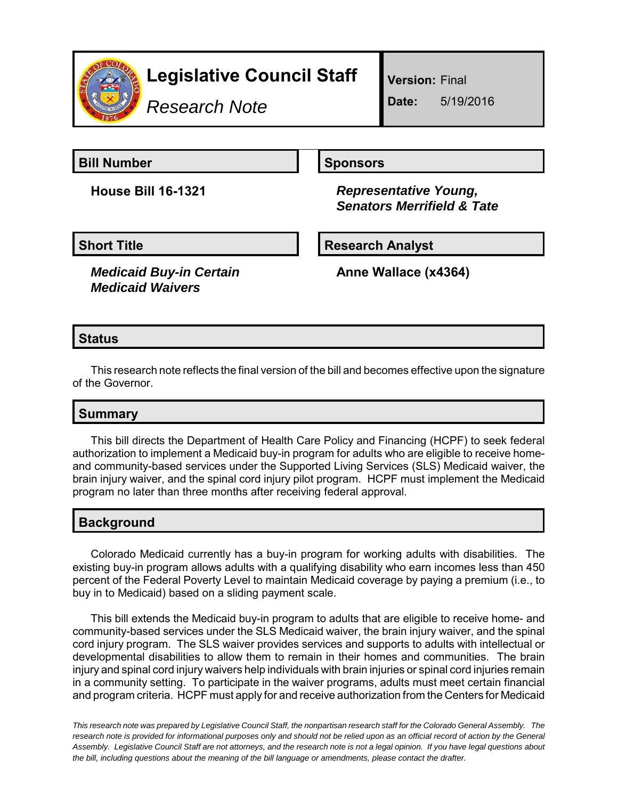

*Research Note*

**Version:** Final

**Date:** 5/19/2016

**Bill Number Sponsors** 

**House Bill 16-1321** *Representative Young, Senators Merrifield & Tate*

*Medicaid Buy-in Certain Medicaid Waivers*

**Short Title Community Community Community Research Analyst** 

**Anne Wallace (x4364)**

# **Status**

This research note reflects the final version of the bill and becomes effective upon the signature of the Governor.

## **Summary**

This bill directs the Department of Health Care Policy and Financing (HCPF) to seek federal authorization to implement a Medicaid buy-in program for adults who are eligible to receive homeand community-based services under the Supported Living Services (SLS) Medicaid waiver, the brain injury waiver, and the spinal cord injury pilot program. HCPF must implement the Medicaid program no later than three months after receiving federal approval.

## **Background**

Colorado Medicaid currently has a buy-in program for working adults with disabilities. The existing buy-in program allows adults with a qualifying disability who earn incomes less than 450 percent of the Federal Poverty Level to maintain Medicaid coverage by paying a premium (i.e., to buy in to Medicaid) based on a sliding payment scale.

This bill extends the Medicaid buy-in program to adults that are eligible to receive home- and community-based services under the SLS Medicaid waiver, the brain injury waiver, and the spinal cord injury program. The SLS waiver provides services and supports to adults with intellectual or developmental disabilities to allow them to remain in their homes and communities. The brain injury and spinal cord injury waivers help individuals with brain injuries or spinal cord injuries remain in a community setting. To participate in the waiver programs, adults must meet certain financial and program criteria. HCPF must apply for and receive authorization from the Centers for Medicaid

*This research note was prepared by Legislative Council Staff, the nonpartisan research staff for the Colorado General Assembly. The research note is provided for informational purposes only and should not be relied upon as an official record of action by the General Assembly. Legislative Council Staff are not attorneys, and the research note is not a legal opinion. If you have legal questions about the bill, including questions about the meaning of the bill language or amendments, please contact the drafter.*